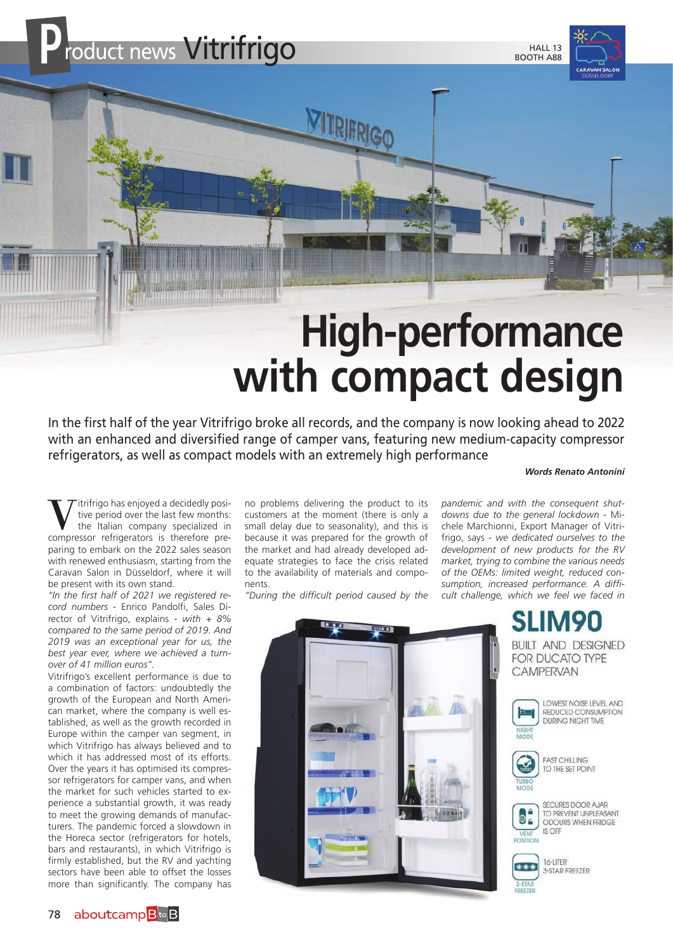

# **High-performance with compact design**

In the first half of the year Vitrifrigo broke all records, and the company is now looking ahead to 2022 with an enhanced and diversified range of camper vans, featuring new medium-capacity compressor refrigerators, as well as compact models with an extremely high performance

#### *Words Renato Antonini*

We period over the last few months:<br>
the Italian company specialized in<br>
compressor refrigerators is therefore pretive period over the last few months: compressor refrigerators is therefore preparing to embark on the 2022 sales season with renewed enthusiasm, starting from the Caravan Salon in Düsseldorf, where it will be present with its own stand.

*"In the first half of 2021 we registered record numbers* - Enrico Pandolfi, Sales Director of Vitrifrigo, explains - *with + 8% compared to the same period of 2019. And 2019 was an exceptional year for us, the best year ever, where we achieved a turnover of 41 million euros".*

Vitrifrigo's excellent performance is due to a combination of factors: undoubtedly the growth of the European and North American market, where the company is well established, as well as the growth recorded in Europe within the camper van segment, in which Vitrifrigo has always believed and to which it has addressed most of its efforts. Over the years it has optimised its compressor refrigerators for camper vans, and when the market for such vehicles started to experience a substantial growth, it was ready to meet the growing demands of manufacturers. The pandemic forced a slowdown in the Horeca sector (refrigerators for hotels, bars and restaurants), in which Vitrifrigo is firmly established, but the RV and yachting sectors have been able to offset the losses more than significantly. The company has

no problems delivering the product to its customers at the moment (there is only a small delay due to seasonality), and this is because it was prepared for the growth of the market and had already developed adequate strategies to face the crisis related to the availability of materials and components.

*"During the difficult period caused by the* 

*pandemic and with the consequent shutdowns due to the general lockdown* - Michele Marchionni, Export Manager of Vitrifrigo, says - *we dedicated ourselves to the development of new products for the RV market, trying to combine the various needs of the OEMs: limited weight, reduced consumption, increased performance. A difficult challenge, which we feel we faced in* 



**SLIM90 BUILT AND DESIGNED FOR DUCATO TYPE CAMPERVAN** 





TO PREVENT UNPLEASANT ODOURS WHEN FRIDGE IS OFF



3-STAR FREEZER